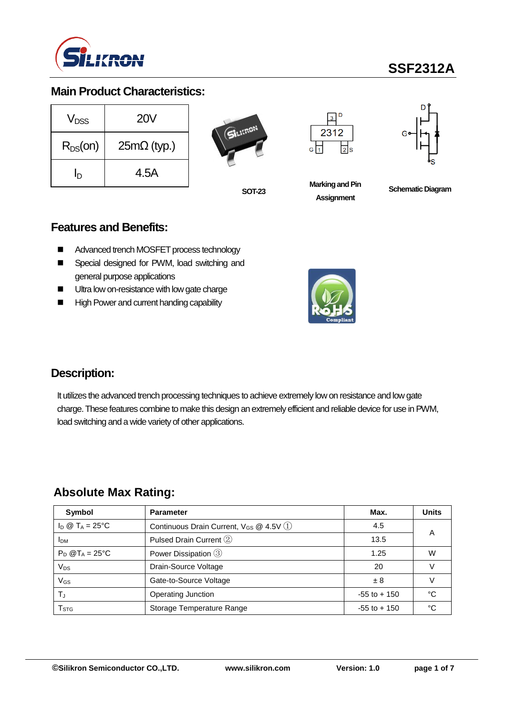

# **SSF2312A**

## **Main Product Characteristics:**

| V <sub>DSS</sub> | <b>20V</b>         |
|------------------|--------------------|
| $R_{DS}(on)$     | $25m\Omega$ (typ.) |
| In               | 4.5A               |







**Marking and Pin Assignment**

**SOT-23 Schematic Diagram**

#### **Features and Benefits:**

- Advanced trench MOSFET process technology
- Special designed for PWM, load switching and general purpose applications
- **Ultra low on-resistance with low gate charge**
- High Power and current handing capability



#### **Description:**

It utilizes the advanced trench processing techniques to achieve extremely low on resistance and low gate charge. These features combine to make this design an extremely efficient and reliable device for use in PWM, load switching and a wide variety of other applications.

#### **Absolute Max Rating:**

| Symbol                       | <b>Parameter</b>                                | Max.            | <b>Units</b> |
|------------------------------|-------------------------------------------------|-----------------|--------------|
| $I_D \otimes T_A = 25$ °C    | Continuous Drain Current, $V_{GS}$ @ 4.5V $(1)$ | 4.5             | A            |
| <b>IDM</b>                   | Pulsed Drain Current 2                          | 13.5            |              |
| $P_D$ @T <sub>A</sub> = 25°C | Power Dissipation 3                             | 1.25            | W            |
| $V_{DS}$                     | Drain-Source Voltage                            | 20              |              |
| $V_{GS}$                     | Gate-to-Source Voltage                          | ±8              |              |
| $T_{\rm J}$                  | Operating Junction                              | $-55$ to $+150$ | °C           |
| $\mathsf{T}_{\texttt{STG}}$  | Storage Temperature Range                       | $-55$ to $+150$ | °C           |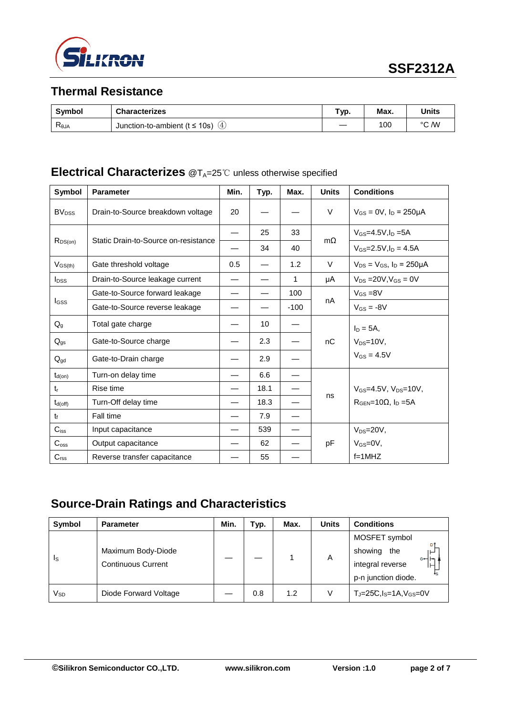

## **Thermal Resistance**

| <b>Symbol</b>  | <b>Characterizes</b>                       | Typ. | Max. | Units |
|----------------|--------------------------------------------|------|------|-------|
| $R_{\theta$ JA | Junction-to-ambient ( $t \le 10s$ )<br>∖4, |      | 100  | °C /W |

## **Electrical Characterizes** @T<sub>A</sub>=25℃ unless otherwise specified

| Symbol                  | <b>Parameter</b>                     | Min. | Typ. | Max.   | <b>Units</b> | <b>Conditions</b>                                    |
|-------------------------|--------------------------------------|------|------|--------|--------------|------------------------------------------------------|
| <b>BV<sub>DSS</sub></b> | Drain-to-Source breakdown voltage    | 20   |      |        | V            | $V_{GS} = 0V$ , $I_D = 250 \mu A$                    |
|                         | Static Drain-to-Source on-resistance |      | 25   | 33     | $m\Omega$    | $V_{GS} = 4.5V, I_D = 5A$                            |
| $R_{DS(on)}$            |                                      |      | 34   | 40     |              | $V_{GS} = 2.5 V, I_D = 4.5 A$                        |
| $V_{GS(th)}$            | Gate threshold voltage               | 0.5  |      | 1.2    | $\vee$       | $V_{DS} = V_{GS}$ , $I_D = 250 \mu A$                |
| <b>I</b> <sub>DSS</sub> | Drain-to-Source leakage current      |      |      | 1      | μA           | $V_{DS}$ = 20V, $V_{GS}$ = 0V                        |
|                         | Gate-to-Source forward leakage       |      |      | 100    |              | $V_{GS} = 8V$                                        |
| <b>I</b> GSS            | Gate-to-Source reverse leakage       |      |      | $-100$ | nA           | $V_{GS} = -8V$                                       |
| $Q_g$                   | Total gate charge                    |      | 10   |        |              | $I_D = 5A$ ,                                         |
| $Q_{gs}$                | Gate-to-Source charge                |      | 2.3  |        | nC           | $V_{DS}=10V$ ,                                       |
| $Q_{gd}$                | Gate-to-Drain charge                 |      | 2.9  |        |              | $V_{GS} = 4.5V$                                      |
| $t_{d(on)}$             | Turn-on delay time                   |      | 6.6  |        |              |                                                      |
| $t_{r}$                 | Rise time                            |      | 18.1 |        |              | $V_{GS} = 4.5V$ , $V_{DS} = 10V$ ,                   |
| $t_{d(\text{off})}$     | Turn-Off delay time                  |      | 18.3 |        | ns           | $R_{\text{GEN}}=10\Omega$ , $I_{\text{D}}=5\text{A}$ |
| $t_{\rm f}$             | Fall time                            |      | 7.9  |        |              |                                                      |
| $C_{\text{iss}}$        | Input capacitance                    |      | 539  |        |              | $V_{DS} = 20V$ ,                                     |
| $C_{\rm oss}$           | Output capacitance                   |      | 62   |        | pF           | $V_{GS}=0V$ ,                                        |
| C <sub>rss</sub>        | Reverse transfer capacitance         |      | 55   |        |              | $f=1$ MHZ                                            |

## **Source-Drain Ratings and Characteristics**

| Symbol | <b>Parameter</b>                                | Min. | Typ. | Max. | <b>Units</b> | <b>Conditions</b>                                                                       |
|--------|-------------------------------------------------|------|------|------|--------------|-----------------------------------------------------------------------------------------|
| Is     | Maximum Body-Diode<br><b>Continuous Current</b> |      |      |      | A            | MOSFET symbol<br>showing<br>the<br>⊢<br>G⊶Hn<br>integral reverse<br>p-n junction diode. |
| Vsd    | Diode Forward Voltage                           |      | 0.8  | 1.2  | V            | $T_J = 25C$ , $I_S = 1A$ , $V_{GS} = 0V$                                                |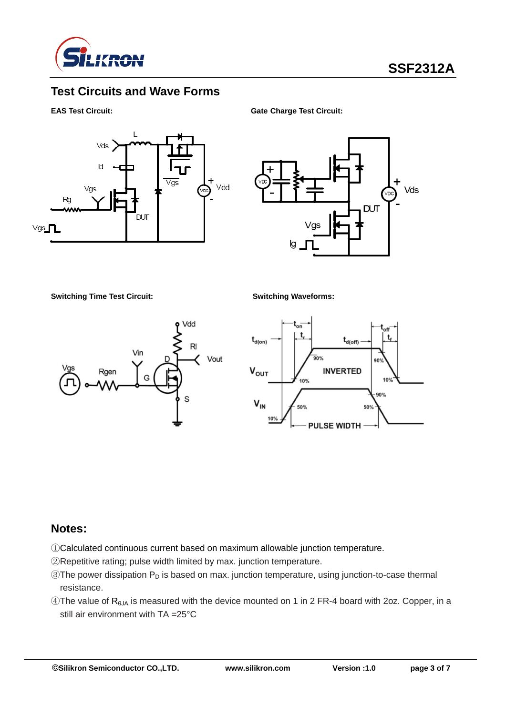

## **Test Circuits and Wave Forms**



**EAS Test Circuit: Gate Charge Test Circuit:**



**Switching Time Test Circuit: Switching Waveforms:**





#### **Notes:**

- ①Calculated continuous current based on maximum allowable junction temperature.
- ②Repetitive rating; pulse width limited by max. junction temperature.
- $\circledR$ The power dissipation  $P_D$  is based on max. junction temperature, using junction-to-case thermal resistance.
- $\circledA$ The value of R<sub>θJA</sub> is measured with the device mounted on 1 in 2 FR-4 board with 2oz. Copper, in a still air environment with TA =25°C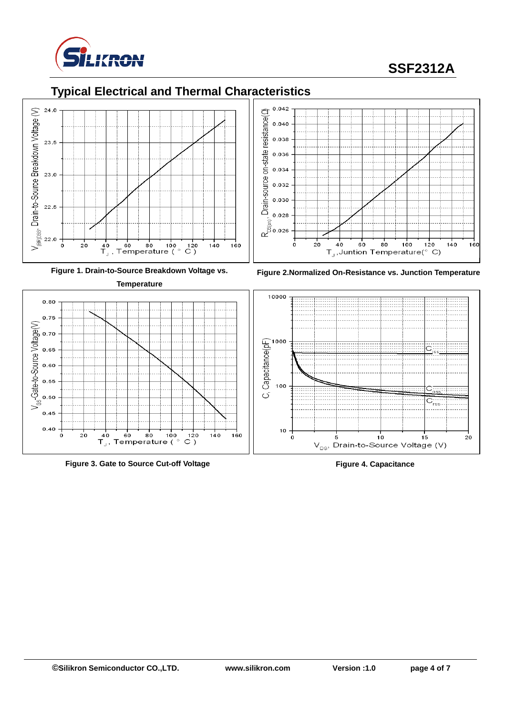

# **SSF2312A**

## **Typical Electrical and Thermal Characteristics**







**Figure 3. Gate to Source Cut-off Voltage Figure 4. Capacitance**





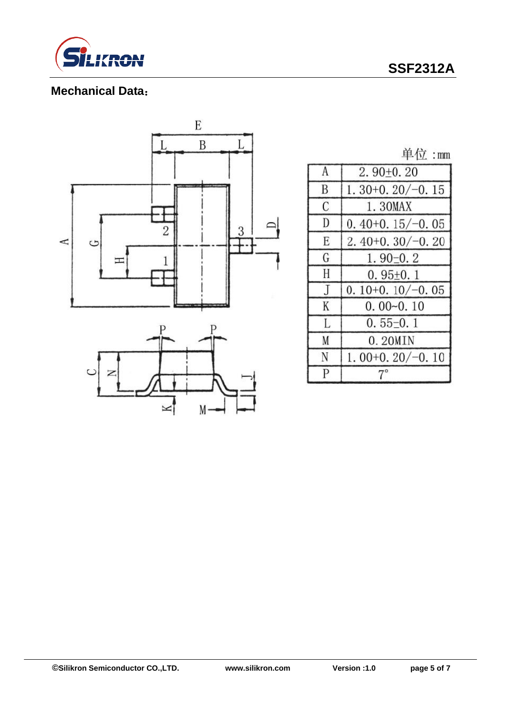

## **SSF2312A**

## **Mechanical Data**:



单位:mm

| A              | $2.90+0.20$       |
|----------------|-------------------|
| B              | $1.30+0.20/-0.15$ |
| C              | 1.30MAX           |
| D              | $0.40+0.15/-0.05$ |
| E              | $2.40+0.30/-0.20$ |
| G              | $1.90 - 0.2$      |
| H              | $0.95+0.1$        |
| $\overline{J}$ | $0.10+0.10/-0.05$ |
| K              | $0.00 - 0.10$     |
| L              | $0.55-0.1$        |
| M              | 0.20MIN           |
| N              | $1.00+0.20/-0.10$ |
| P              | $7^{\circ}$       |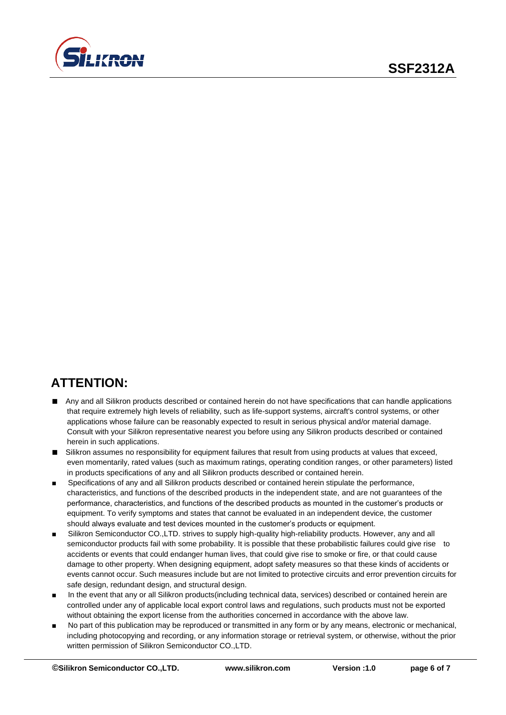

# **ATTENTION:**

- Any and all Silikron products described or contained herein do not have specifications that can handle applications that require extremely high levels of reliability, such as life-support systems, aircraft's control systems, or other applications whose failure can be reasonably expected to result in serious physical and/or material damage. Consult with your Silikron representative nearest you before using any Silikron products described or contained herein in such applications.
- Silikron assumes no responsibility for equipment failures that result from using products at values that exceed, even momentarily, rated values (such as maximum ratings, operating condition ranges, or other parameters) listed in products specifications of any and all Silikron products described or contained herein.
- Specifications of any and all Silikron products described or contained herein stipulate the performance, characteristics, and functions of the described products in the independent state, and are not guarantees of the performance, characteristics, and functions of the described products as mounted in the customer's products or equipment. To verify symptoms and states that cannot be evaluated in an independent device, the customer should always evaluate and test devices mounted in the customer's products or equipment.
- Silikron Semiconductor CO.,LTD. strives to supply high-quality high-reliability products. However, any and all semiconductor products fail with some probability. It is possible that these probabilistic failures could give rise to accidents or events that could endanger human lives, that could give rise to smoke or fire, or that could cause damage to other property. When designing equipment, adopt safety measures so that these kinds of accidents or events cannot occur. Such measures include but are not limited to protective circuits and error prevention circuits for safe design, redundant design, and structural design.
- In the event that any or all Silikron products(including technical data, services) described or contained herein are controlled under any of applicable local export control laws and regulations, such products must not be exported without obtaining the export license from the authorities concerned in accordance with the above law.
- No part of this publication may be reproduced or transmitted in any form or by any means, electronic or mechanical, including photocopying and recording, or any information storage or retrieval system, or otherwise, without the prior written permission of Silikron Semiconductor CO.,LTD.